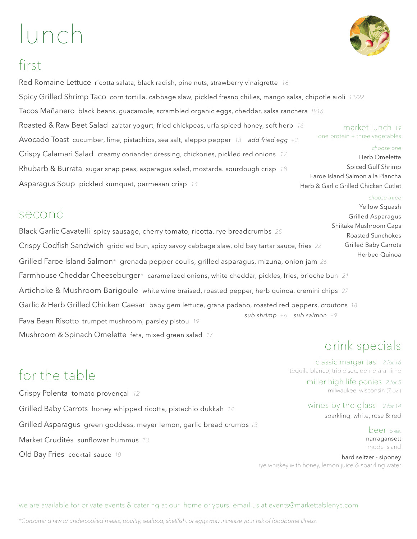# lunch



## first

Red Romaine Lettuce ricotta salata, black radish, pine nuts, strawberry vinaigrette *16* Spicy Grilled Shrimp Taco corn tortilla, cabbage slaw, pickled fresno chilies, mango salsa, chipotle aioli *11/22* Tacos Mañanero black beans, guacamole, scrambled organic eggs, cheddar, salsa ranchera *8/16* Roasted & Raw Beet Salad za'atar yogurt, fried chickpeas, urfa spiced honey, soft herb *16* Avocado Toast cucumber, lime, pistachios, sea salt, aleppo pepper *13 add fried egg +3* Crispy Calamari Salad creamy coriander dressing, chickories, pickled red onions *17* Rhubarb & Burrata sugar snap peas, asparagus salad, mostarda. sourdough crisp *18* Asparagus Soup pickled kumquat, parmesan crisp *14*

#### second

Black Garlic Cavatelli spicy sausage, cherry tomato, ricotta, rye breadcrumbs *25* Crispy Codfish Sandwichgriddled bun, spicy savoy cabbage slaw, old bay tartar sauce, fries *22* Grilled Faroe Island Salmon*\** grenada pepper coulis, grilled asparagus, mizuna, onion jam *26* Farmhouse Cheddar Cheeseburger\* caramelized onions, white cheddar, pickles, fries, brioche bun *21*  Artichoke & Mushroom Barigoule white wine braised, roasted pepper, herb quinoa, cremini chips *27* Garlic & Herb Grilled Chicken Caesar baby gem lettuce, grana padano, roasted red peppers, croutons *18 sub shrimp +6 sub salmon +9* Fava Bean Risottotrumpet mushroom, parsley pistou *19* Mushroom & Spinach Omelette feta, mixed green salad *17*

## for the table

Crispy Polenta tomato provençal *12* Grilled Baby Carrots honey whipped ricotta, pistachio dukkah *14* Grilled Asparagus green goddess, meyer lemon, garlic bread crumbs *13* Market Crudités sunflower hummus *13* Old Bay Fries cocktail sauce *10*

#### market lunch*<sup>19</sup>* one protein + three vegetables

*choose one* Herb Omelette Spiced Gulf Shrimp Faroe Island Salmon a la Plancha Herb & Garlic Grilled Chicken Cutlet

#### *choose three*

Yellow Squash Grilled Asparagus Shiitake Mushroom Caps Roasted Sunchokes Grilled Baby Carrots Herbed Quinoa

## drink specials

classic margaritas *2 for 16* tequila blanco, triple sec, demerara, lime

> miller high life ponies *2 for 5* milwaukee, wisconsin (7 oz.)

#### wines by the glass *2 for 14* sparkling, white, rose & red

beer *5 ea.* narragansett rhode island

hard seltzer - siponey rye whiskey with honey, lemon juice & sparkling water

we are available for private events & catering at our home or yours! email us at events@markettablenyc.com